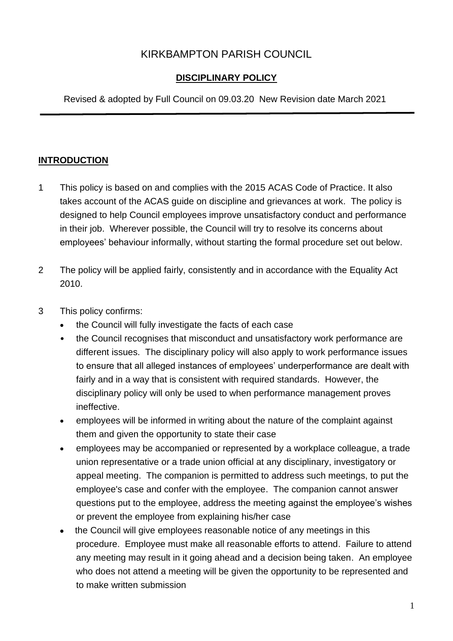# KIRKBAMPTON PARISH COUNCIL

### **DISCIPLINARY POLICY**

Revised & adopted by Full Council on 09.03.20 New Revision date March 2021

#### **INTRODUCTION**

- 1 This policy is based on and complies with the 2015 ACAS Code of Practice. It also takes account of the ACAS guide on discipline and grievances at work. The policy is designed to help Council employees improve unsatisfactory conduct and performance in their job. Wherever possible, the Council will try to resolve its concerns about employees' behaviour informally, without starting the formal procedure set out below.
- 2 The policy will be applied fairly, consistently and in accordance with the Equality Act 2010.
- 3 This policy confirms:
	- the Council will fully investigate the facts of each case
	- the Council recognises that misconduct and unsatisfactory work performance are different issues. The disciplinary policy will also apply to work performance issues to ensure that all alleged instances of employees' underperformance are dealt with fairly and in a way that is consistent with required standards. However, the disciplinary policy will only be used to when performance management proves ineffective.
	- employees will be informed in writing about the nature of the complaint against them and given the opportunity to state their case
	- employees may be accompanied or represented by a workplace colleague, a trade union representative or a trade union official at any disciplinary, investigatory or appeal meeting. The companion is permitted to address such meetings, to put the employee's case and confer with the employee. The companion cannot answer questions put to the employee, address the meeting against the employee's wishes or prevent the employee from explaining his/her case
	- the Council will give employees reasonable notice of any meetings in this procedure. Employee must make all reasonable efforts to attend. Failure to attend any meeting may result in it going ahead and a decision being taken. An employee who does not attend a meeting will be given the opportunity to be represented and to make written submission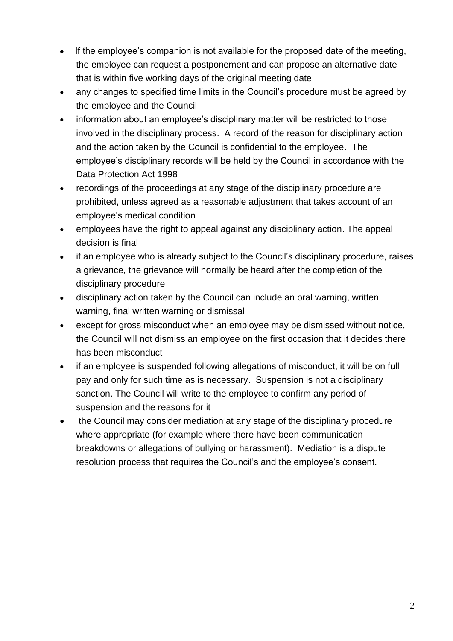- If the employee's companion is not available for the proposed date of the meeting, the employee can request a postponement and can propose an alternative date that is within five working days of the original meeting date
- any changes to specified time limits in the Council's procedure must be agreed by the employee and the Council
- information about an employee's disciplinary matter will be restricted to those involved in the disciplinary process. A record of the reason for disciplinary action and the action taken by the Council is confidential to the employee. The employee's disciplinary records will be held by the Council in accordance with the Data Protection Act 1998
- recordings of the proceedings at any stage of the disciplinary procedure are prohibited, unless agreed as a reasonable adjustment that takes account of an employee's medical condition
- employees have the right to appeal against any disciplinary action. The appeal decision is final
- if an employee who is already subject to the Council's disciplinary procedure, raises a grievance, the grievance will normally be heard after the completion of the disciplinary procedure
- disciplinary action taken by the Council can include an oral warning, written warning, final written warning or dismissal
- except for gross misconduct when an employee may be dismissed without notice, the Council will not dismiss an employee on the first occasion that it decides there has been misconduct
- if an employee is suspended following allegations of misconduct, it will be on full pay and only for such time as is necessary. Suspension is not a disciplinary sanction. The Council will write to the employee to confirm any period of suspension and the reasons for it
- the Council may consider mediation at any stage of the disciplinary procedure where appropriate (for example where there have been communication breakdowns or allegations of bullying or harassment). Mediation is a dispute resolution process that requires the Council's and the employee's consent.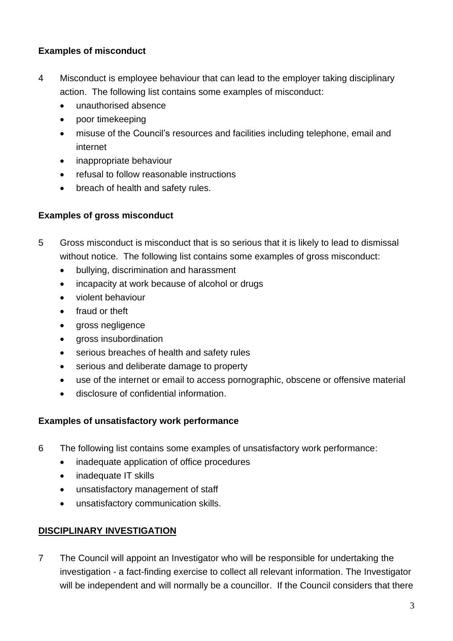#### **Examples of misconduct**

- 4 Misconduct is employee behaviour that can lead to the employer taking disciplinary action. The following list contains some examples of misconduct:
	- unauthorised absence
	- poor timekeeping
	- misuse of the Council's resources and facilities including telephone, email and internet
	- inappropriate behaviour
	- refusal to follow reasonable instructions
	- breach of health and safety rules.

#### **Examples of gross misconduct**

- 5 Gross misconduct is misconduct that is so serious that it is likely to lead to dismissal without notice. The following list contains some examples of gross misconduct:
	- bullying, discrimination and harassment
	- incapacity at work because of alcohol or drugs
	- violent behaviour
	- fraud or theft
	- gross negligence
	- gross insubordination
	- serious breaches of health and safety rules
	- serious and deliberate damage to property
	- use of the internet or email to access pornographic, obscene or offensive material
	- disclosure of confidential information.

#### **Examples of unsatisfactory work performance**

- 6 The following list contains some examples of unsatisfactory work performance:
	- inadequate application of office procedures
	- inadequate IT skills
	- unsatisfactory management of staff
	- unsatisfactory communication skills.

### **DISCIPLINARY INVESTIGATION**

7 The Council will appoint an Investigator who will be responsible for undertaking the investigation - a fact-finding exercise to collect all relevant information. The Investigator will be independent and will normally be a councillor. If the Council considers that there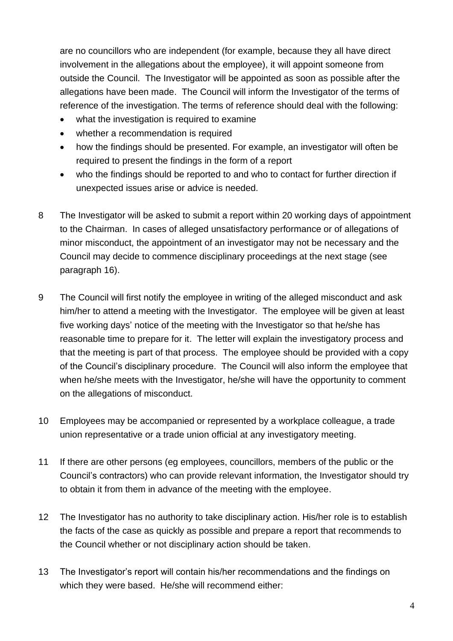are no councillors who are independent (for example, because they all have direct involvement in the allegations about the employee), it will appoint someone from outside the Council. The Investigator will be appointed as soon as possible after the allegations have been made. The Council will inform the Investigator of the terms of reference of the investigation. The terms of reference should deal with the following:

- what the investigation is required to examine
- whether a recommendation is required
- how the findings should be presented. For example, an investigator will often be required to present the findings in the form of a report
- who the findings should be reported to and who to contact for further direction if unexpected issues arise or advice is needed.
- 8 The Investigator will be asked to submit a report within 20 working days of appointment to the Chairman. In cases of alleged unsatisfactory performance or of allegations of minor misconduct, the appointment of an investigator may not be necessary and the Council may decide to commence disciplinary proceedings at the next stage (see paragraph 16).
- 9 The Council will first notify the employee in writing of the alleged misconduct and ask him/her to attend a meeting with the Investigator. The employee will be given at least five working days' notice of the meeting with the Investigator so that he/she has reasonable time to prepare for it. The letter will explain the investigatory process and that the meeting is part of that process. The employee should be provided with a copy of the Council's disciplinary procedure. The Council will also inform the employee that when he/she meets with the Investigator, he/she will have the opportunity to comment on the allegations of misconduct.
- 10 Employees may be accompanied or represented by a workplace colleague, a trade union representative or a trade union official at any investigatory meeting.
- 11 If there are other persons (eg employees, councillors, members of the public or the Council's contractors) who can provide relevant information, the Investigator should try to obtain it from them in advance of the meeting with the employee.
- 12 The Investigator has no authority to take disciplinary action. His/her role is to establish the facts of the case as quickly as possible and prepare a report that recommends to the Council whether or not disciplinary action should be taken.
- 13 The Investigator's report will contain his/her recommendations and the findings on which they were based. He/she will recommend either: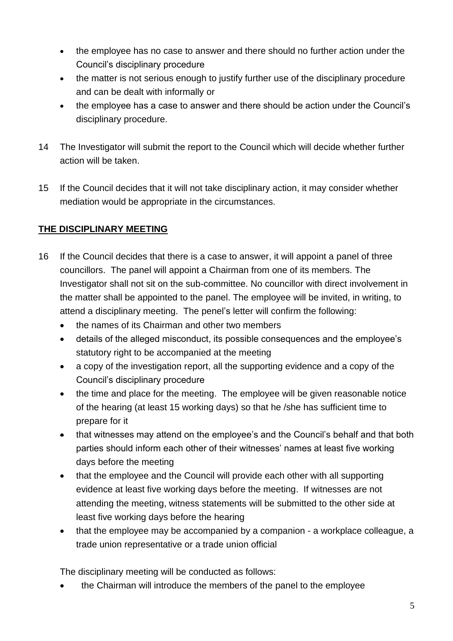- the employee has no case to answer and there should no further action under the Council's disciplinary procedure
- the matter is not serious enough to justify further use of the disciplinary procedure and can be dealt with informally or
- the employee has a case to answer and there should be action under the Council's disciplinary procedure.
- 14 The Investigator will submit the report to the Council which will decide whether further action will be taken.
- 15 If the Council decides that it will not take disciplinary action, it may consider whether mediation would be appropriate in the circumstances.

# **THE DISCIPLINARY MEETING**

- 16 If the Council decides that there is a case to answer, it will appoint a panel of three councillors. The panel will appoint a Chairman from one of its members. The Investigator shall not sit on the sub-committee. No councillor with direct involvement in the matter shall be appointed to the panel. The employee will be invited, in writing, to attend a disciplinary meeting. The penel's letter will confirm the following:
	- the names of its Chairman and other two members
	- details of the alleged misconduct, its possible consequences and the employee's statutory right to be accompanied at the meeting
	- a copy of the investigation report, all the supporting evidence and a copy of the Council's disciplinary procedure
	- the time and place for the meeting. The employee will be given reasonable notice of the hearing (at least 15 working days) so that he /she has sufficient time to prepare for it
	- that witnesses may attend on the employee's and the Council's behalf and that both parties should inform each other of their witnesses' names at least five working days before the meeting
	- that the employee and the Council will provide each other with all supporting evidence at least five working days before the meeting. If witnesses are not attending the meeting, witness statements will be submitted to the other side at least five working days before the hearing
	- that the employee may be accompanied by a companion a workplace colleague, a trade union representative or a trade union official

The disciplinary meeting will be conducted as follows:

• the Chairman will introduce the members of the panel to the employee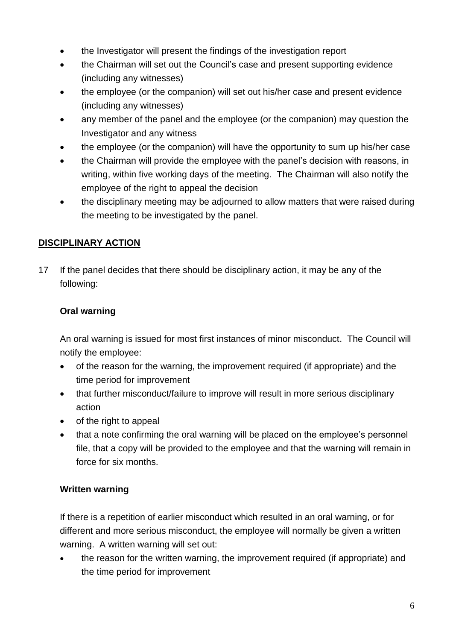- the Investigator will present the findings of the investigation report
- the Chairman will set out the Council's case and present supporting evidence (including any witnesses)
- the employee (or the companion) will set out his/her case and present evidence (including any witnesses)
- any member of the panel and the employee (or the companion) may question the Investigator and any witness
- the employee (or the companion) will have the opportunity to sum up his/her case
- the Chairman will provide the employee with the panel's decision with reasons, in writing, within five working days of the meeting. The Chairman will also notify the employee of the right to appeal the decision
- the disciplinary meeting may be adjourned to allow matters that were raised during the meeting to be investigated by the panel.

# **DISCIPLINARY ACTION**

17 If the panel decides that there should be disciplinary action, it may be any of the following:

# **Oral warning**

An oral warning is issued for most first instances of minor misconduct. The Council will notify the employee:

- of the reason for the warning, the improvement required (if appropriate) and the time period for improvement
- that further misconduct/failure to improve will result in more serious disciplinary action
- of the right to appeal
- that a note confirming the oral warning will be placed on the employee's personnel file, that a copy will be provided to the employee and that the warning will remain in force for six months.

### **Written warning**

If there is a repetition of earlier misconduct which resulted in an oral warning, or for different and more serious misconduct, the employee will normally be given a written warning. A written warning will set out:

• the reason for the written warning, the improvement required (if appropriate) and the time period for improvement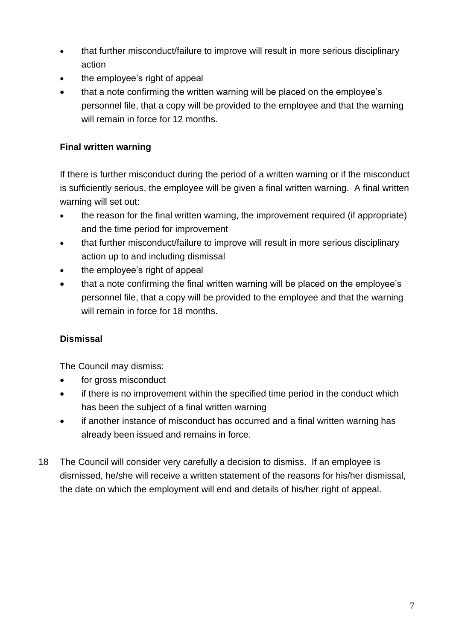- that further misconduct/failure to improve will result in more serious disciplinary action
- the employee's right of appeal
- that a note confirming the written warning will be placed on the employee's personnel file, that a copy will be provided to the employee and that the warning will remain in force for 12 months.

# **Final written warning**

If there is further misconduct during the period of a written warning or if the misconduct is sufficiently serious, the employee will be given a final written warning. A final written warning will set out:

- the reason for the final written warning, the improvement required (if appropriate) and the time period for improvement
- that further misconduct/failure to improve will result in more serious disciplinary action up to and including dismissal
- the employee's right of appeal
- that a note confirming the final written warning will be placed on the employee's personnel file, that a copy will be provided to the employee and that the warning will remain in force for 18 months.

# **Dismissal**

The Council may dismiss:

- for gross misconduct
- if there is no improvement within the specified time period in the conduct which has been the subject of a final written warning
- if another instance of misconduct has occurred and a final written warning has already been issued and remains in force.
- 18 The Council will consider very carefully a decision to dismiss. If an employee is dismissed, he/she will receive a written statement of the reasons for his/her dismissal, the date on which the employment will end and details of his/her right of appeal.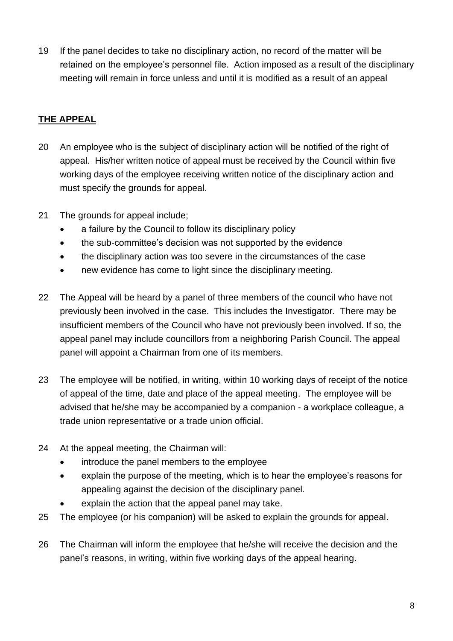19 If the panel decides to take no disciplinary action, no record of the matter will be retained on the employee's personnel file. Action imposed as a result of the disciplinary meeting will remain in force unless and until it is modified as a result of an appeal

# **THE APPEAL**

- 20 An employee who is the subject of disciplinary action will be notified of the right of appeal. His/her written notice of appeal must be received by the Council within five working days of the employee receiving written notice of the disciplinary action and must specify the grounds for appeal.
- 21 The grounds for appeal include;
	- a failure by the Council to follow its disciplinary policy
	- the sub-committee's decision was not supported by the evidence
	- the disciplinary action was too severe in the circumstances of the case
	- new evidence has come to light since the disciplinary meeting.
- 22 The Appeal will be heard by a panel of three members of the council who have not previously been involved in the case. This includes the Investigator. There may be insufficient members of the Council who have not previously been involved. If so, the appeal panel may include councillors from a neighboring Parish Council. The appeal panel will appoint a Chairman from one of its members.
- 23 The employee will be notified, in writing, within 10 working days of receipt of the notice of appeal of the time, date and place of the appeal meeting. The employee will be advised that he/she may be accompanied by a companion - a workplace colleague, a trade union representative or a trade union official.
- 24 At the appeal meeting, the Chairman will:
	- introduce the panel members to the employee
	- explain the purpose of the meeting, which is to hear the employee's reasons for appealing against the decision of the disciplinary panel.
	- explain the action that the appeal panel may take.
- 25 The employee (or his companion) will be asked to explain the grounds for appeal.
- 26 The Chairman will inform the employee that he/she will receive the decision and the panel's reasons, in writing, within five working days of the appeal hearing.